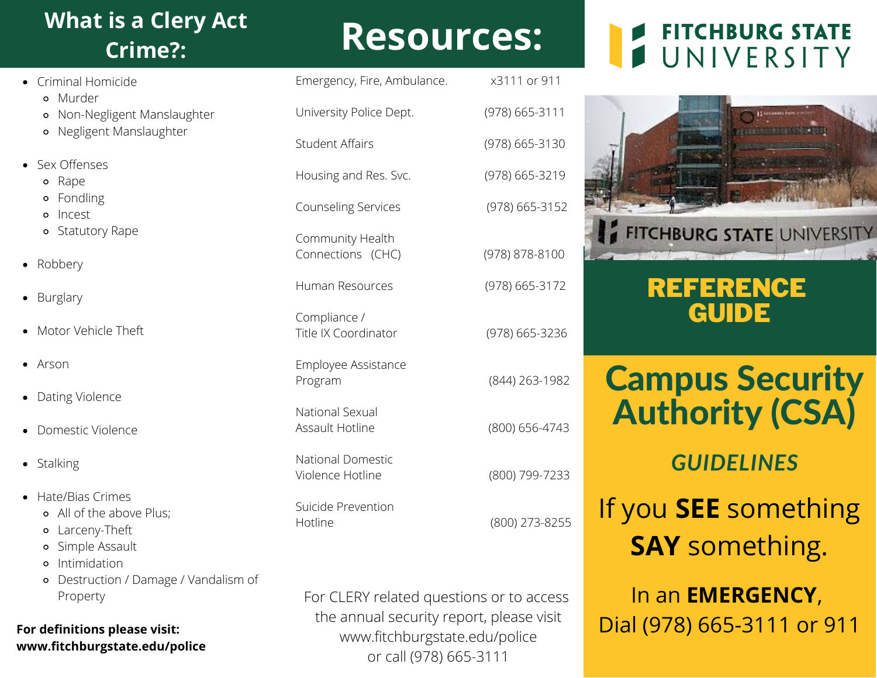## **What is a Clery Act Crime?:**

- Criminal Homicide Murder Non-Negligent Manslaughter Negligent Manslaughter Sex Offenses o Rape Fondling **o** Incest Statutory Rape • Robbery • Burglary • Motor Vehicle Theft
- Arson
- Dating Violence
- Domestic Violence
- Stalking
- Hate/Bias Crimes
	- All of the above Plus;
	- Larceny-Theft
	- Simple Assault
	- **•** Intimidation
	- Destruction / Damage / Vandalism of Property

#### **For definitions please visit: www.fitchburgstate.edu/police**

# **Resources:**

| Emergency, Fire, Ambulance.           | x3111 or 911   |
|---------------------------------------|----------------|
| University Police Dept.               | (978) 665-3111 |
| Student Affairs                       | (978) 665-3130 |
| Housing and Res. Svc.                 | (978) 665-3219 |
| <b>Counseling Services</b>            | (978) 665-3152 |
| Community Health<br>Connections (CHC) | (978) 878-8100 |
| Human Resources                       | (978) 665-3172 |
| Compliance /<br>Title IX Coordinator  | (978) 665-3236 |
| Employee Assistance<br>Program        | (844) 263-1982 |
| National Sexual<br>Assault Hotline    | (800) 656-4743 |
| National Domestic<br>Violence Hotline | (800) 799-7233 |
| Suicide Prevention<br>Hotline         | (800) 273-8255 |

For CLERY related questions or to access the annual security report, please visit www.fitchburgstate.edu/police or call (978) 665-3111

## **FITCHBURG STATE** UNIVERSITY